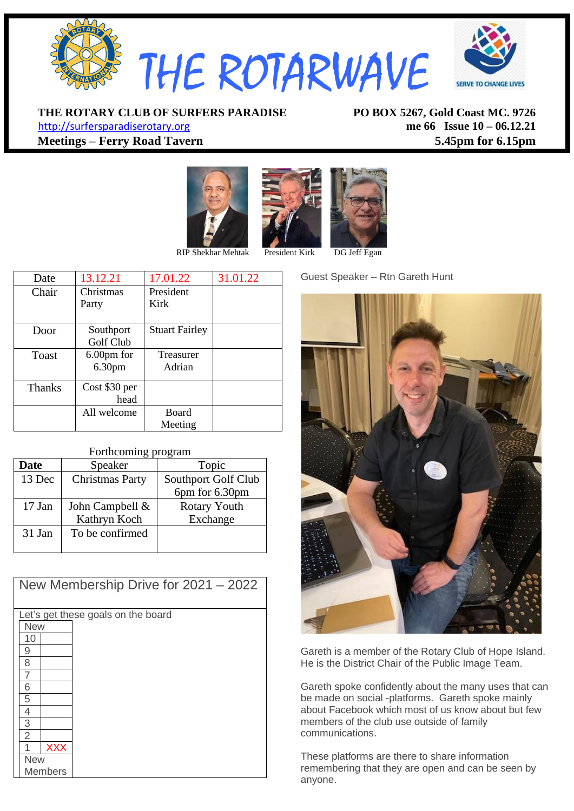

**THE ROTARY CLUB OF SURFERS PARADISE PO BOX 5267, Gold Coast MC. 9726** [http://surfersparadiserotary.org](http://surfersparadiserotary.org/) **me 66 Issue 10 – 06.12.21**

**Meetings – Ferry Road Tavern 5.45pm for 6.15pm**





| Date          | 13.12.21           | 17.01.22              | 31.01.22 |
|---------------|--------------------|-----------------------|----------|
| Chair         | Christmas          | President             |          |
|               | Party              | Kirk                  |          |
|               |                    |                       |          |
| Door          | Southport          | <b>Stuart Fairley</b> |          |
|               | Golf Club          |                       |          |
| Toast         | 6.00pm for         | Treasurer             |          |
|               | 6.30 <sub>pm</sub> | Adrian                |          |
|               |                    |                       |          |
| <b>Thanks</b> | Cost \$30 per      |                       |          |
|               | head               |                       |          |
|               | All welcome        | <b>Board</b>          |          |
|               |                    | Meeting               |          |

#### Forthcoming program

| <b>Date</b> | Speaker                | Topic               |  |  |
|-------------|------------------------|---------------------|--|--|
| 13 Dec      | <b>Christmas Party</b> | Southport Golf Club |  |  |
|             |                        | 6pm for 6.30pm      |  |  |
| 17 Jan      | John Campbell &        | <b>Rotary Youth</b> |  |  |
|             | Kathryn Koch           | Exchange            |  |  |
| 31 Jan      | To be confirmed        |                     |  |  |
|             |                        |                     |  |  |

| New Membership Drive for $2021 - 2022$ |  |  |  |  |  |
|----------------------------------------|--|--|--|--|--|
| Let's get these goals on the board     |  |  |  |  |  |
| <b>New</b>                             |  |  |  |  |  |
| 10                                     |  |  |  |  |  |
| 9                                      |  |  |  |  |  |
| 8                                      |  |  |  |  |  |
| 7                                      |  |  |  |  |  |
| 6                                      |  |  |  |  |  |
| 5                                      |  |  |  |  |  |
| 4                                      |  |  |  |  |  |
| $\overline{3}$                         |  |  |  |  |  |
| $\overline{2}$                         |  |  |  |  |  |
| <b>XXX</b>                             |  |  |  |  |  |
| <b>New</b>                             |  |  |  |  |  |
| <b>Members</b>                         |  |  |  |  |  |

Guest Speaker – Rtn Gareth Hunt



Gareth is a member of the Rotary Club of Hope Island. He is the District Chair of the Public Image Team.

Gareth spoke confidently about the many uses that can be made on social -platforms. Gareth spoke mainly about Facebook which most of us know about but few members of the club use outside of family communications.

These platforms are there to share information remembering that they are open and can be seen by anyone.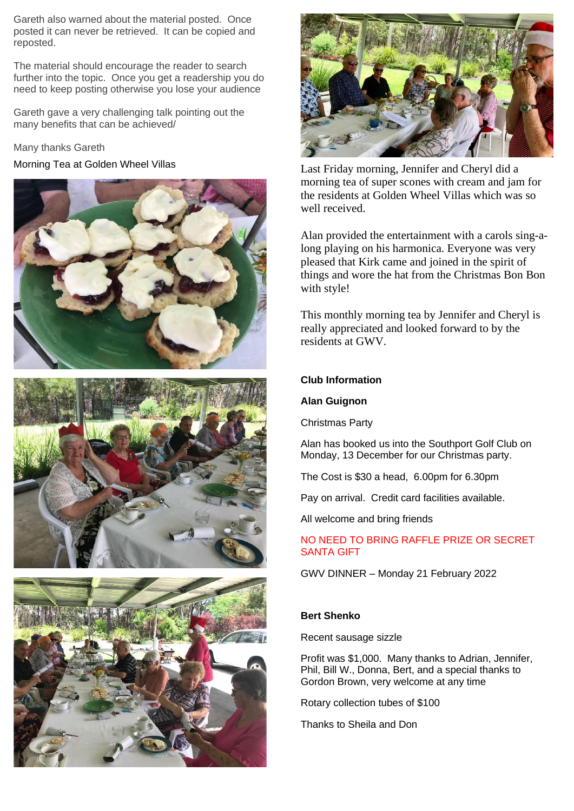Gareth also warned about the material posted. Once posted it can never be retrieved. It can be copied and reposted.

The material should encourage the reader to search further into the topic. Once you get a readership you do need to keep posting otherwise you lose your audience

Gareth gave a very challenging talk pointing out the many benefits that can be achieved/

Many thanks Gareth









Morning Tea at Golden Wheel Villas Last Friday morning, Jennifer and Cheryl did a morning tea of super scones with cream and jam for the residents at Golden Wheel Villas which was so well received.

> Alan provided the entertainment with a carols sing-along playing on his harmonica. Everyone was very pleased that Kirk came and joined in the spirit of things and wore the hat from the Christmas Bon Bon with style!

This monthly morning tea by Jennifer and Cheryl is really appreciated and looked forward to by the residents at GWV.

# **Club Information**

### **Alan Guignon**

Christmas Party

Alan has booked us into the Southport Golf Club on Monday, 13 December for our Christmas party.

The Cost is \$30 a head, 6.00pm for 6.30pm

Pay on arrival. Credit card facilities available.

All welcome and bring friends

NO NEED TO BRING RAFFLE PRIZE OR SECRET SANTA GIFT

GWV DINNER – Monday 21 February 2022

# **Bert Shenko**

Recent sausage sizzle

Profit was \$1,000. Many thanks to Adrian, Jennifer, Phil, Bill W., Donna, Bert, and a special thanks to Gordon Brown, very welcome at any time

Rotary collection tubes of \$100

Thanks to Sheila and Don